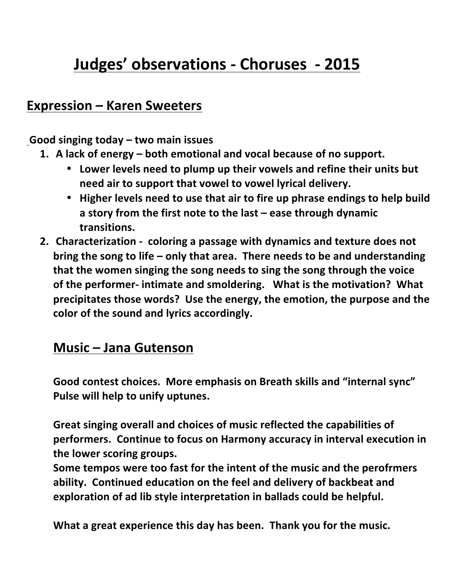# **Judges' observations - Choruses - 2015**

# **Expression – Karen Sweeters**

Good singing today – two main issues

- 1. A lack of energy both emotional and vocal because of no support.
	- Lower levels need to plump up their vowels and refine their units but need air to support that vowel to vowel lyrical delivery.
	- Higher levels need to use that air to fire up phrase endings to help build a story from the first note to the last – ease through dynamic **transitions.**
- **2.** Characterization coloring a passage with dynamics and texture does not **bring the song to life – only that area. There needs to be and understanding** that the women singing the song needs to sing the song through the voice of the performer- intimate and smoldering. What is the motivation? What **precipitates those words? Use the energy, the emotion, the purpose and the** color of the sound and lyrics accordingly.

#### **Music – Jana Gutenson**

Good contest choices. More emphasis on Breath skills and "internal sync" Pulse will help to unify uptunes.

Great singing overall and choices of music reflected the capabilities of performers. Continue to focus on Harmony accuracy in interval execution in the lower scoring groups.

Some tempos were too fast for the intent of the music and the perofrmers ability. Continued education on the feel and delivery of backbeat and exploration of ad lib style interpretation in ballads could be helpful.

What a great experience this day has been. Thank you for the music.